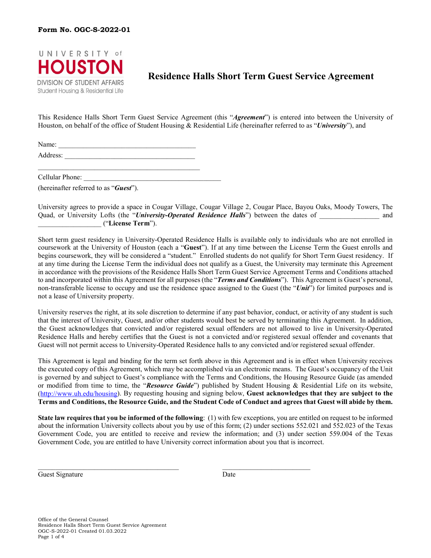

# **Residence Halls Short Term Guest Service Agreement**

This Residence Halls Short Term Guest Service Agreement (this "*Agreement*") is entered into between the University of Houston, on behalf of the office of Student Housing & Residential Life (hereinafter referred to as "*University*"), and

Name: Address:

 $\mathcal{L}_\mathcal{L} = \{ \mathcal{L}_\mathcal{L} = \{ \mathcal{L}_\mathcal{L} = \{ \mathcal{L}_\mathcal{L} = \{ \mathcal{L}_\mathcal{L} = \{ \mathcal{L}_\mathcal{L} = \{ \mathcal{L}_\mathcal{L} = \{ \mathcal{L}_\mathcal{L} = \{ \mathcal{L}_\mathcal{L} = \{ \mathcal{L}_\mathcal{L} = \{ \mathcal{L}_\mathcal{L} = \{ \mathcal{L}_\mathcal{L} = \{ \mathcal{L}_\mathcal{L} = \{ \mathcal{L}_\mathcal{L} = \{ \mathcal{L}_\mathcal{$ Cellular Phone:

(hereinafter referred to as "*Guest*").

University agrees to provide a space in Cougar Village, Cougar Village 2, Cougar Place, Bayou Oaks, Moody Towers, The Quad, or University Lofts (the "*University-Operated Residence Halls*") between the dates of and \_\_\_\_\_\_\_\_\_\_\_\_\_\_\_\_\_\_ ("**License Term**").

Short term guest residency in University-Operated Residence Halls is available only to individuals who are not enrolled in coursework at the University of Houston (each a "**Guest**"). If at any time between the License Term the Guest enrolls and begins coursework, they will be considered a "student." Enrolled students do not qualify for Short Term Guest residency. If at any time during the License Term the individual does not qualify as a Guest, the University may terminate this Agreement in accordance with the provisions of the Residence Halls Short Term Guest Service Agreement Terms and Conditions attached to and incorporated within this Agreement for all purposes (the "*Terms and Conditions*"). This Agreement is Guest's personal, non-transferable license to occupy and use the residence space assigned to the Guest (the "*Unit*") for limited purposes and is not a lease of University property.

University reserves the right, at its sole discretion to determine if any past behavior, conduct, or activity of any student is such that the interest of University, Guest, and/or other students would best be served by terminating this Agreement. In addition, the Guest acknowledges that convicted and/or registered sexual offenders are not allowed to live in University-Operated Residence Halls and hereby certifies that the Guest is not a convicted and/or registered sexual offender and covenants that Guest will not permit access to University-Operated Residence halls to any convicted and/or registered sexual offender.

This Agreement is legal and binding for the term set forth above in this Agreement and is in effect when University receives the executed copy of this Agreement, which may be accomplished via an electronic means. The Guest's occupancy of the Unit is governed by and subject to Guest's compliance with the Terms and Conditions, the Housing Resource Guide (as amended or modified from time to time, the "*Resource Guide*") published by Student Housing & Residential Life on its website, [\(http://www.uh.edu/housing\)](http://www.uh.edu/housing). By requesting housing and signing below, **Guest acknowledges that they are subject to the Terms and Conditions, the Resource Guide, and the Student Code of Conduct and agrees that Guest will abide by them.**

**State law requires that you be informed of the following**: (1) with few exceptions, you are entitled on request to be informed about the information University collects about you by use of this form; (2) under sections 552.021 and 552.023 of the Texas Government Code, you are entitled to receive and review the information; and (3) under section 559.004 of the Texas Government Code, you are entitled to have University correct information about you that is incorrect.

 $\mathcal{L}_\mathcal{L} = \mathcal{L}_\mathcal{L} = \mathcal{L}_\mathcal{L} = \mathcal{L}_\mathcal{L} = \mathcal{L}_\mathcal{L} = \mathcal{L}_\mathcal{L} = \mathcal{L}_\mathcal{L} = \mathcal{L}_\mathcal{L} = \mathcal{L}_\mathcal{L} = \mathcal{L}_\mathcal{L} = \mathcal{L}_\mathcal{L} = \mathcal{L}_\mathcal{L} = \mathcal{L}_\mathcal{L} = \mathcal{L}_\mathcal{L} = \mathcal{L}_\mathcal{L} = \mathcal{L}_\mathcal{L} = \mathcal{L}_\mathcal{L}$ 

Guest Signature Date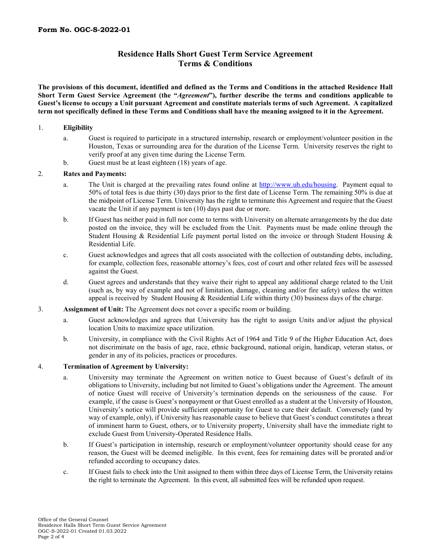# **Residence Halls Short Guest Term Service Agreement Terms & Conditions**

**The provisions of this document, identified and defined as the Terms and Conditions in the attached Residence Hall Short Term Guest Service Agreement (the "***Agreement***"), further describe the terms and conditions applicable to Guest's license to occupy a Unit pursuant Agreement and constitute materials terms of such Agreement. A capitalized term not specifically defined in these Terms and Conditions shall have the meaning assigned to it in the Agreement.** 

# 1. **Eligibility**

- a. Guest is required to participate in a structured internship, research or employment/volunteer position in the Houston, Texas or surrounding area for the duration of the License Term. University reserves the right to verify proof at any given time during the License Term.
- b. Guest must be at least eighteen (18) years of age.

# 2. **Rates and Payments:**

- a. The Unit is charged at the prevailing rates found online at [http://www.uh.edu/housing.](http://www.uh.edu/housing) Payment equal to 50% of total fees is due thirty (30) days prior to the first date of License Term. The remaining 50% is due at the midpoint of License Term. University has the right to terminate this Agreement and require that the Guest vacate the Unit if any payment is ten (10) days past due or more.
- b. If Guest has neither paid in full nor come to terms with University on alternate arrangements by the due date posted on the invoice, they will be excluded from the Unit. Payments must be made online through the Student Housing & Residential Life payment portal listed on the invoice or through Student Housing & Residential Life.
- c. Guest acknowledges and agrees that all costs associated with the collection of outstanding debts, including, for example, collection fees, reasonable attorney's fees, cost of court and other related fees will be assessed against the Guest.
- d. Guest agrees and understands that they waive their right to appeal any additional charge related to the Unit (such as, by way of example and not of limitation, damage, cleaning and/or fire safety) unless the written appeal is received by Student Housing & Residential Life within thirty (30) business days of the charge.
- 3. **Assignment of Unit:** The Agreement does not cover a specific room or building.
	- a. Guest acknowledges and agrees that University has the right to assign Units and/or adjust the physical location Units to maximize space utilization.
	- b. University, in compliance with the Civil Rights Act of 1964 and Title 9 of the Higher Education Act, does not discriminate on the basis of age, race, ethnic background, national origin, handicap, veteran status, or gender in any of its policies, practices or procedures.

# 4. **Termination of Agreement by University:**

- a. University may terminate the Agreement on written notice to Guest because of Guest's default of its obligations to University, including but not limited to Guest's obligations under the Agreement. The amount of notice Guest will receive of University's termination depends on the seriousness of the cause. For example, if the cause is Guest's nonpayment or that Guest enrolled as a student at the University of Houston, University's notice will provide sufficient opportunity for Guest to cure their default. Conversely (and by way of example, only), if University has reasonable cause to believe that Guest's conduct constitutes a threat of imminent harm to Guest, others, or to University property, University shall have the immediate right to exclude Guest from University-Operated Residence Halls.
- b. If Guest's participation in internship, research or employment/volunteer opportunity should cease for any reason, the Guest will be deemed ineligible. In this event, fees for remaining dates will be prorated and/or refunded according to occupancy dates.
- c. If Guest fails to check into the Unit assigned to them within three days of License Term, the University retains the right to terminate the Agreement. In this event, all submitted fees will be refunded upon request.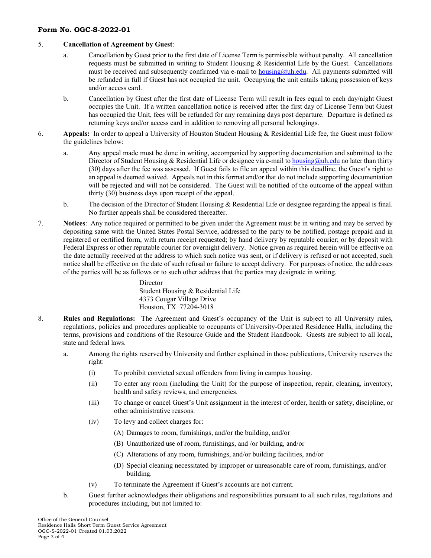# **Form No. OGC-S-2022-01**

#### 5. **Cancellation of Agreement by Guest**:

- a. Cancellation by Guest prior to the first date of License Term is permissible without penalty. All cancellation requests must be submitted in writing to Student Housing  $\&$  Residential Life by the Guest. Cancellations must be received and subsequently confirmed via e-mail to **housing@uh.edu.** All payments submitted will be refunded in full if Guest has not occupied the unit. Occupying the unit entails taking possession of keys and/or access card.
- b. Cancellation by Guest after the first date of License Term will result in fees equal to each day/night Guest occupies the Unit. If a written cancellation notice is received after the first day of License Term but Guest has occupied the Unit, fees will be refunded for any remaining days post departure. Departure is defined as returning keys and/or access card in addition to removing all personal belongings.
- 6. **Appeals:** In order to appeal a University of Houston Student Housing & Residential Life fee, the Guest must follow the guidelines below:
	- a. Any appeal made must be done in writing, accompanied by supporting documentation and submitted to the Director of Student Housing & Residential Life or designee via e-mail t[o housing@uh.edu](mailto:housing@uh.edu) no later than thirty (30) days after the fee was assessed. If Guest fails to file an appeal within this deadline, the Guest's right to an appeal is deemed waived. Appeals not in this format and/or that do not include supporting documentation will be rejected and will not be considered. The Guest will be notified of the outcome of the appeal within thirty (30) business days upon receipt of the appeal.
	- b. The decision of the Director of Student Housing & Residential Life or designee regarding the appeal is final. No further appeals shall be considered thereafter.
- 7. **Notices**: Any notice required or permitted to be given under the Agreement must be in writing and may be served by depositing same with the United States Postal Service, addressed to the party to be notified, postage prepaid and in registered or certified form, with return receipt requested; by hand delivery by reputable courier; or by deposit with Federal Express or other reputable courier for overnight delivery. Notice given as required herein will be effective on the date actually received at the address to which such notice was sent, or if delivery is refused or not accepted, such notice shall be effective on the date of such refusal or failure to accept delivery. For purposes of notice, the addresses of the parties will be as follows or to such other address that the parties may designate in writing.

**Director** Student Housing & Residential Life 4373 Cougar Village Drive Houston, TX 77204-3018

- 8. **Rules and Regulations:** The Agreement and Guest's occupancy of the Unit is subject to all University rules, regulations, policies and procedures applicable to occupants of University-Operated Residence Halls, including the terms, provisions and conditions of the Resource Guide and the Student Handbook. Guests are subject to all local, state and federal laws.
	- a. Among the rights reserved by University and further explained in those publications, University reserves the right:
		- (i) To prohibit convicted sexual offenders from living in campus housing.
		- (ii) To enter any room (including the Unit) for the purpose of inspection, repair, cleaning, inventory, health and safety reviews, and emergencies.
		- (iii) To change or cancel Guest's Unit assignment in the interest of order, health or safety, discipline, or other administrative reasons.
		- (iv) To levy and collect charges for:
			- (A) Damages to room, furnishings, and/or the building, and/or
			- (B) Unauthorized use of room, furnishings, and /or building, and/or
			- (C) Alterations of any room, furnishings, and/or building facilities, and/or
			- (D) Special cleaning necessitated by improper or unreasonable care of room, furnishings, and/or building.
		- (v) To terminate the Agreement if Guest's accounts are not current.
	- b. Guest further acknowledges their obligations and responsibilities pursuant to all such rules, regulations and procedures including, but not limited to: